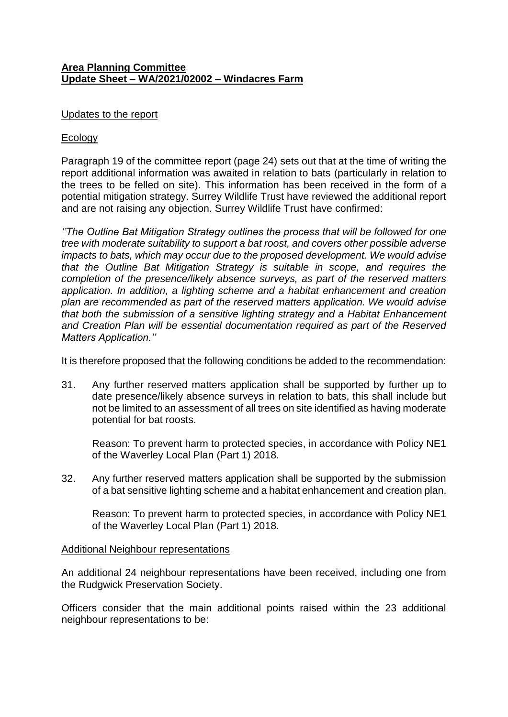## **Area Planning Committee Update Sheet – WA/2021/02002 – Windacres Farm**

### Updates to the report

## **Ecology**

Paragraph 19 of the committee report (page 24) sets out that at the time of writing the report additional information was awaited in relation to bats (particularly in relation to the trees to be felled on site). This information has been received in the form of a potential mitigation strategy. Surrey Wildlife Trust have reviewed the additional report and are not raising any objection. Surrey Wildlife Trust have confirmed:

*''The Outline Bat Mitigation Strategy outlines the process that will be followed for one tree with moderate suitability to support a bat roost, and covers other possible adverse impacts to bats, which may occur due to the proposed development. We would advise that the Outline Bat Mitigation Strategy is suitable in scope, and requires the completion of the presence/likely absence surveys, as part of the reserved matters application. In addition, a lighting scheme and a habitat enhancement and creation plan are recommended as part of the reserved matters application. We would advise that both the submission of a sensitive lighting strategy and a Habitat Enhancement and Creation Plan will be essential documentation required as part of the Reserved Matters Application.''*

It is therefore proposed that the following conditions be added to the recommendation:

31. Any further reserved matters application shall be supported by further up to date presence/likely absence surveys in relation to bats, this shall include but not be limited to an assessment of all trees on site identified as having moderate potential for bat roosts.

Reason: To prevent harm to protected species, in accordance with Policy NE1 of the Waverley Local Plan (Part 1) 2018.

32. Any further reserved matters application shall be supported by the submission of a bat sensitive lighting scheme and a habitat enhancement and creation plan.

Reason: To prevent harm to protected species, in accordance with Policy NE1 of the Waverley Local Plan (Part 1) 2018.

#### Additional Neighbour representations

An additional 24 neighbour representations have been received, including one from the Rudgwick Preservation Society.

Officers consider that the main additional points raised within the 23 additional neighbour representations to be: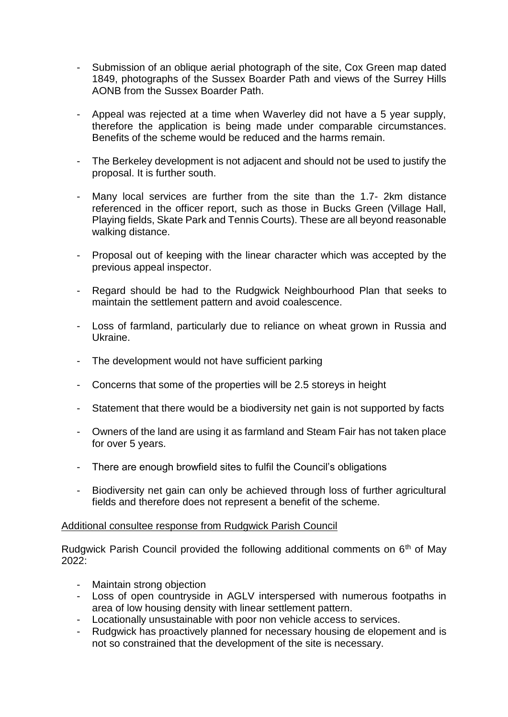- Submission of an oblique aerial photograph of the site, Cox Green map dated 1849, photographs of the Sussex Boarder Path and views of the Surrey Hills AONB from the Sussex Boarder Path.
- Appeal was rejected at a time when Waverley did not have a 5 year supply, therefore the application is being made under comparable circumstances. Benefits of the scheme would be reduced and the harms remain.
- The Berkeley development is not adjacent and should not be used to justify the proposal. It is further south.
- Many local services are further from the site than the 1.7- 2km distance referenced in the officer report, such as those in Bucks Green (Village Hall, Playing fields, Skate Park and Tennis Courts). These are all beyond reasonable walking distance.
- Proposal out of keeping with the linear character which was accepted by the previous appeal inspector.
- Regard should be had to the Rudgwick Neighbourhood Plan that seeks to maintain the settlement pattern and avoid coalescence.
- Loss of farmland, particularly due to reliance on wheat grown in Russia and Ukraine.
- The development would not have sufficient parking
- Concerns that some of the properties will be 2.5 storeys in height
- Statement that there would be a biodiversity net gain is not supported by facts
- Owners of the land are using it as farmland and Steam Fair has not taken place for over 5 years.
- There are enough browfield sites to fulfil the Council's obligations
- Biodiversity net gain can only be achieved through loss of further agricultural fields and therefore does not represent a benefit of the scheme.

# Additional consultee response from Rudgwick Parish Council

Rudgwick Parish Council provided the following additional comments on 6<sup>th</sup> of May 2022:

- Maintain strong objection
- Loss of open countryside in AGLV interspersed with numerous footpaths in area of low housing density with linear settlement pattern.
- Locationally unsustainable with poor non vehicle access to services.
- Rudgwick has proactively planned for necessary housing de elopement and is not so constrained that the development of the site is necessary.